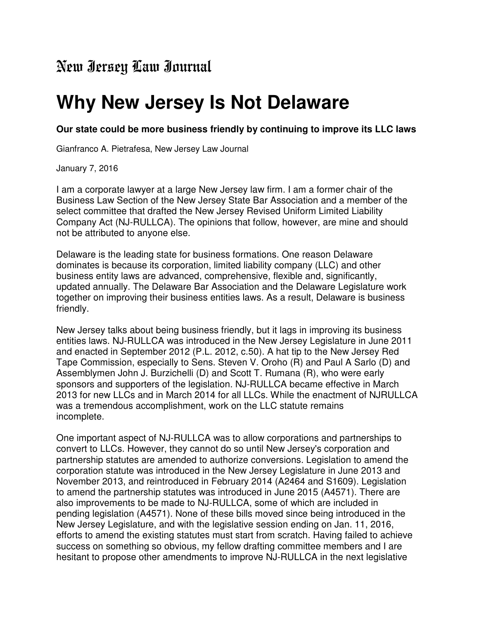## New Jersey Law Journal

## **Why New Jersey Is Not Delaware**

## **Our state could be more business friendly by continuing to improve its LLC laws**

Gianfranco A. Pietrafesa, New Jersey Law Journal

January 7, 2016

I am a corporate lawyer at a large New Jersey law firm. I am a former chair of the Business Law Section of the New Jersey State Bar Association and a member of the select committee that drafted the New Jersey Revised Uniform Limited Liability Company Act (NJ-RULLCA). The opinions that follow, however, are mine and should not be attributed to anyone else.

Delaware is the leading state for business formations. One reason Delaware dominates is because its corporation, limited liability company (LLC) and other business entity laws are advanced, comprehensive, flexible and, significantly, updated annually. The Delaware Bar Association and the Delaware Legislature work together on improving their business entities laws. As a result, Delaware is business friendly.

New Jersey talks about being business friendly, but it lags in improving its business entities laws. NJ-RULLCA was introduced in the New Jersey Legislature in June 2011 and enacted in September 2012 (P.L. 2012, c.50). A hat tip to the New Jersey Red Tape Commission, especially to Sens. Steven V. Oroho (R) and Paul A Sarlo (D) and Assemblymen John J. Burzichelli (D) and Scott T. Rumana (R), who were early sponsors and supporters of the legislation. NJ-RULLCA became effective in March 2013 for new LLCs and in March 2014 for all LLCs. While the enactment of NJRULLCA was a tremendous accomplishment, work on the LLC statute remains incomplete.

One important aspect of NJ-RULLCA was to allow corporations and partnerships to convert to LLCs. However, they cannot do so until New Jersey's corporation and partnership statutes are amended to authorize conversions. Legislation to amend the corporation statute was introduced in the New Jersey Legislature in June 2013 and November 2013, and reintroduced in February 2014 (A2464 and S1609). Legislation to amend the partnership statutes was introduced in June 2015 (A4571). There are also improvements to be made to NJ-RULLCA, some of which are included in pending legislation (A4571). None of these bills moved since being introduced in the New Jersey Legislature, and with the legislative session ending on Jan. 11, 2016, efforts to amend the existing statutes must start from scratch. Having failed to achieve success on something so obvious, my fellow drafting committee members and I are hesitant to propose other amendments to improve NJ-RULLCA in the next legislative